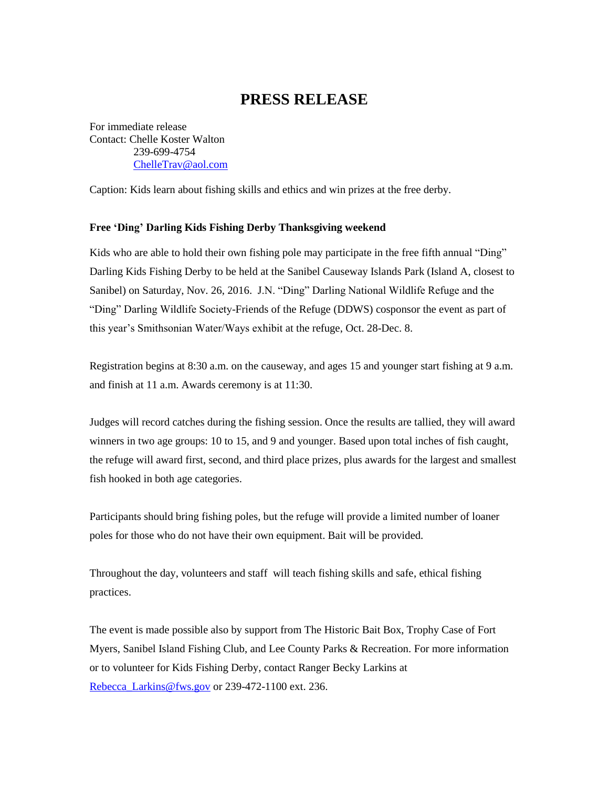## **PRESS RELEASE**

For immediate release Contact: Chelle Koster Walton 239-699-4754 [ChelleTrav@aol.com](mailto:ChelleTrav@aol.com)

Caption: Kids learn about fishing skills and ethics and win prizes at the free derby.

## **Free 'Ding' Darling Kids Fishing Derby Thanksgiving weekend**

Kids who are able to hold their own fishing pole may participate in the free fifth annual "Ding" Darling Kids Fishing Derby to be held at the Sanibel Causeway Islands Park (Island A, closest to Sanibel) on Saturday, Nov. 26, 2016. J.N. "Ding" Darling National Wildlife Refuge and the "Ding" Darling Wildlife Society-Friends of the Refuge (DDWS) cosponsor the event as part of this year's Smithsonian Water/Ways exhibit at the refuge, Oct. 28-Dec. 8.

Registration begins at 8:30 a.m. on the causeway, and ages 15 and younger start fishing at 9 a.m. and finish at 11 a.m. Awards ceremony is at 11:30.

Judges will record catches during the fishing session. Once the results are tallied, they will award winners in two age groups: 10 to 15, and 9 and younger. Based upon total inches of fish caught, the refuge will award first, second, and third place prizes, plus awards for the largest and smallest fish hooked in both age categories.

Participants should bring fishing poles, but the refuge will provide a limited number of loaner poles for those who do not have their own equipment. Bait will be provided.

Throughout the day, volunteers and staff will teach fishing skills and safe, ethical fishing practices.

The event is made possible also by support from The Historic Bait Box, Trophy Case of Fort Myers, Sanibel Island Fishing Club, and Lee County Parks & Recreation. For more information or to volunteer for Kids Fishing Derby, contact Ranger Becky Larkins at [Rebecca\\_Larkins@fws.gov](mailto:Rebecca_Larkins@fws.gov) or 239-472-1100 ext. 236.